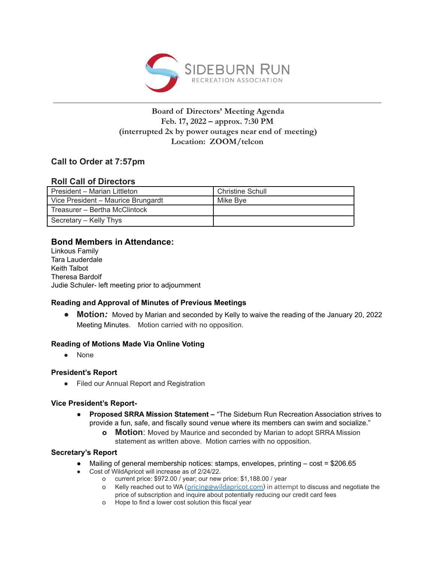

## **Board of Directors' Meeting Agenda Feb. 17, 2022 – approx. 7:30 PM (interrupted 2x by power outages near end of meeting) Location: ZOOM/telcon**

# **Call to Order at 7:57pm**

## **Roll Call of Directors**

| President – Marian Littleton       | <b>Christine Schull</b> |
|------------------------------------|-------------------------|
| Vice President - Maurice Brungardt | Mike Bve                |
| Treasurer - Bertha McClintock      |                         |
| Secretary – Kelly Thys             |                         |

## **Bond Members in Attendance:**

Linkous Family Tara Lauderdale Keith Talbot Theresa Bardolf Judie Schuler- left meeting prior to adjournment

## **Reading and Approval of Minutes of Previous Meetings**

● **Motion:** Moved by Marian and seconded by Kelly to waive the reading of the January 20, 2022 Meeting Minutes. Motion carried with no opposition.

## **Reading of Motions Made Via Online Voting**

● None

## **President's Report**

● Filed our Annual Report and Registration

## **Vice President's Report-**

- **● Proposed SRRA Mission Statement –** "The Sideburn Run Recreation Association strives to provide a fun, safe, and fiscally sound venue where its members can swim and socialize."
	- **o Motion**: Moved by Maurice and seconded by Marian to adopt SRRA Mission statement as written above. Motion carries with no opposition.

## **Secretary's Report**

- Mailing of general membership notices: stamps, envelopes, printing  $-\cos t = 206.65$
- Cost of WildApricot will increase as of 2/24/22.
	- o current price: \$972.00 / year; our new price: \$1,188.00 / year
	- o Kelly reached out to WA ([pricing@wildapricot.com\)](mailto:pricing@wildapricot.com) in attempt to discuss and negotiate the price of subscription and inquire about potentially reducing our credit card fees
	- o Hope to find a lower cost solution this fiscal year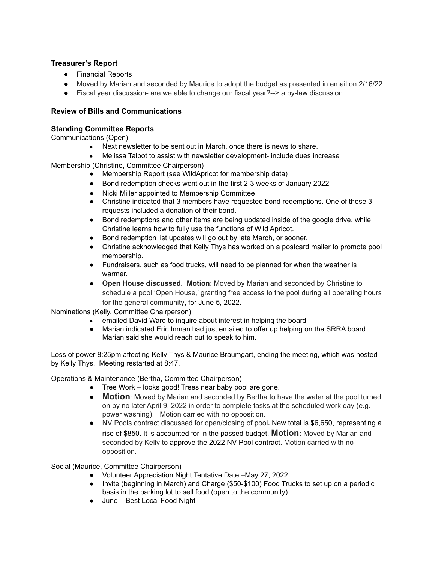## **Treasurer's Report**

- Financial Reports
- **●** Moved by Marian and seconded by Maurice to adopt the budget as presented in email on 2/16/22
- **●** Fiscal year discussion- are we able to change our fiscal year?--> a by-law discussion

#### **Review of Bills and Communications**

#### **Standing Committee Reports**

Communications (Open)

- Next newsletter to be sent out in March, once there is news to share.
- Melissa Talbot to assist with newsletter development- include dues increase

Membership (Christine, Committee Chairperson)

- Membership Report (see WildApricot for membership data)
- Bond redemption checks went out in the first 2-3 weeks of January 2022
- Nicki Miller appointed to Membership Committee
- Christine indicated that 3 members have requested bond redemptions. One of these 3 requests included a donation of their bond.
- Bond redemptions and other items are being updated inside of the google drive, while Christine learns how to fully use the functions of Wild Apricot.
- Bond redemption list updates will go out by late March, or sooner.
- Christine acknowledged that Kelly Thys has worked on a postcard mailer to promote pool membership.
- Fundraisers, such as food trucks, will need to be planned for when the weather is warmer.
- **Open House discussed. Motion**: Moved by Marian and seconded by Christine to schedule a pool 'Open House,' granting free access to the pool during all operating hours for the general community, for June 5, 2022.

Nominations (Kelly, Committee Chairperson)

- emailed David Ward to inquire about interest in helping the board
- Marian indicated Eric Inman had just emailed to offer up helping on the SRRA board. Marian said she would reach out to speak to him.

Loss of power 8:25pm affecting Kelly Thys & Maurice Braumgart, ending the meeting, which was hosted by Kelly Thys. Meeting restarted at 8:47.

Operations & Maintenance (Bertha, Committee Chairperson)

- Tree Work looks good! Trees near baby pool are gone.
- **Motion**: Moved by Marian and seconded by Bertha to have the water at the pool turned on by no later April 9, 2022 in order to complete tasks at the scheduled work day (e.g. power washing). Motion carried with no opposition.
- NV Pools contract discussed for open/closing of pool**.** New total is \$6,650, representing a rise of \$850. It is accounted for in the passed budget. **Motion:** Moved by Marian and seconded by Kelly to approve the 2022 NV Pool contract. Motion carried with no opposition.

Social (Maurice, Committee Chairperson)

- Volunteer Appreciation Night Tentative Date –May 27, 2022
- Invite (beginning in March) and Charge (\$50-\$100) Food Trucks to set up on a periodic basis in the parking lot to sell food (open to the community)
- June Best Local Food Night